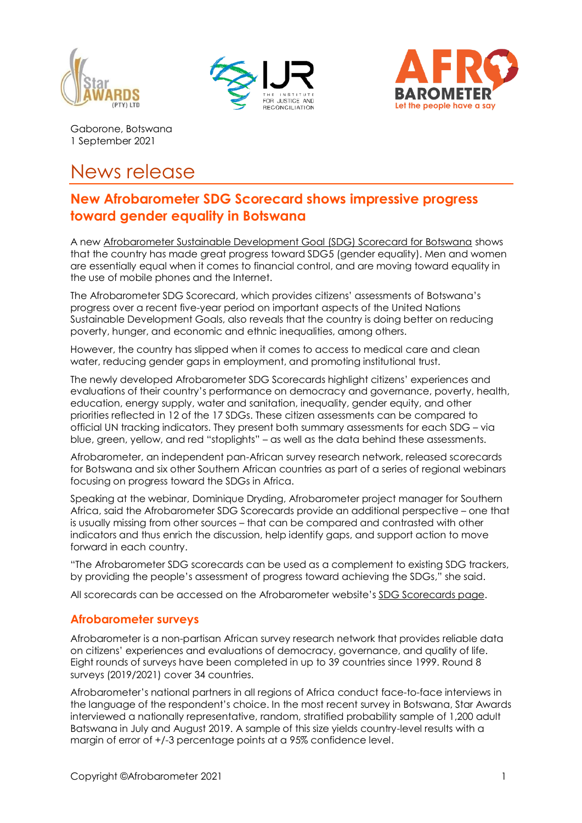





Gaborone, Botswana 1 September 2021

## News release

## **New Afrobarometer SDG Scorecard shows impressive progress toward gender equality in Botswana**

A new [Afrobarometer Sustainable Development Goal \(SDG\) Scorecard for Botswana](https://afrobarometer.org/publications/botswana-sdg-scorecard) shows that the country has made great progress toward SDG5 (gender equality). Men and women are essentially equal when it comes to financial control, and are moving toward equality in the use of mobile phones and the Internet.

The Afrobarometer SDG Scorecard, which provides citizens' assessments of Botswana's progress over a recent five-year period on important aspects of the United Nations Sustainable Development Goals, also reveals that the country is doing better on reducing poverty, hunger, and economic and ethnic inequalities, among others.

However, the country has slipped when it comes to access to medical care and clean water, reducing gender gaps in employment, and promoting institutional trust.

The newly developed Afrobarometer SDG Scorecards highlight citizens' experiences and evaluations of their country's performance on democracy and governance, poverty, health, education, energy supply, water and sanitation, inequality, gender equity, and other priorities reflected in 12 of the 17 SDGs. These citizen assessments can be compared to official UN tracking indicators. They present both summary assessments for each SDG – via blue, green, yellow, and red "stoplights" – as well as the data behind these assessments.

Afrobarometer, an independent pan-African survey research network, released scorecards for Botswana and six other Southern African countries as part of a series of regional webinars focusing on progress toward the SDGs in Africa.

Speaking at the webinar, Dominique Dryding, Afrobarometer project manager for Southern Africa, said the Afrobarometer SDG Scorecards provide an additional perspective – one that is usually missing from other sources – that can be compared and contrasted with other indicators and thus enrich the discussion, help identify gaps, and support action to move forward in each country.

"The Afrobarometer SDG scorecards can be used as a complement to existing SDG trackers, by providing the people's assessment of progress toward achieving the SDGs," she said.

All scorecards can be accessed on the Afrobarometer website's [SDG Scorecards page.](https://afrobarometer.org/sdg)

## **Afrobarometer surveys**

Afrobarometer is a non-partisan African survey research network that provides reliable data on citizens' experiences and evaluations of democracy, governance, and quality of life. Eight rounds of surveys have been completed in up to 39 countries since 1999. Round 8 surveys (2019/2021) cover 34 countries.

Afrobarometer's national partners in all regions of Africa conduct face-to-face interviews in the language of the respondent's choice. In the most recent survey in Botswana, Star Awards interviewed a nationally representative, random, stratified probability sample of 1,200 adult Batswana in July and August 2019. A sample of this size yields country-level results with a margin of error of +/-3 percentage points at a 95% confidence level.